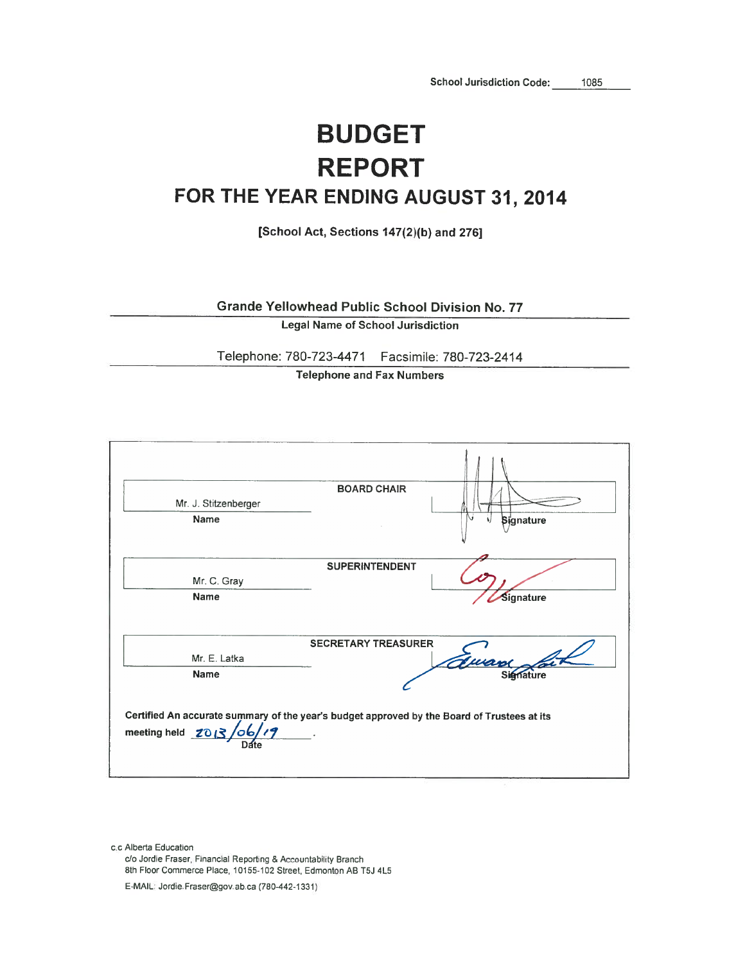1085

## **BUDGET REPORT** FOR THE YEAR ENDING AUGUST 31, 2014

[School Act, Sections 147(2)(b) and 276]

**Grande Yellowhead Public School Division No. 77** 

**Legal Name of School Jurisdiction** 

Telephone: 780-723-4471 Facsimile: 780-723-2414

**Telephone and Fax Numbers** 



c.c Alberta Education c/o Jordie Fraser, Financial Reporting & Accountability Branch 8th Floor Commerce Place, 10155-102 Street, Edmonton AB T5J 4L5

E-MAIL: Jordie Fraser@gov.ab.ca (780-442-1331)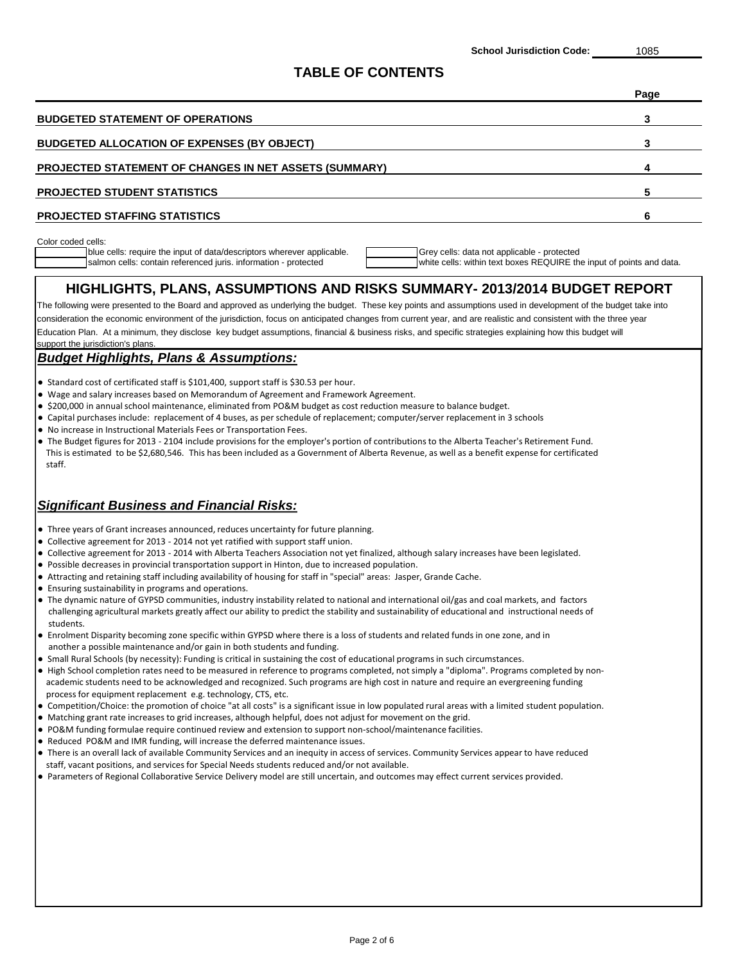#### **TABLE OF CONTENTS**

|                                                               | Page |
|---------------------------------------------------------------|------|
| <b>BUDGETED STATEMENT OF OPERATIONS</b>                       |      |
| <b>BUDGETED ALLOCATION OF EXPENSES (BY OBJECT)</b>            |      |
| <b>PROJECTED STATEMENT OF CHANGES IN NET ASSETS (SUMMARY)</b> |      |
| <b>PROJECTED STUDENT STATISTICS</b>                           |      |
| <b>PROJECTED STAFFING STATISTICS</b>                          |      |
|                                                               |      |

Color coded cells:

blue cells: require the input of data/descriptors wherever applicable. Grey cells: data not applicable - protected salmon cells: contain referenced juris. information - protected white cells: within text boxes REQUIRE the input of points and data.

## **HIGHLIGHTS, PLANS, ASSUMPTIONS AND RISKS SUMMARY- 2013/2014 BUDGET REPORT**

Education Plan. At a minimum, they disclose key budget assumptions, financial & business risks, and specific strategies explaining how this budget will support the jurisdiction's plans. The following were presented to the Board and approved as underlying the budget. These key points and assumptions used in development of the budget take into consideration the economic environment of the jurisdiction, focus on anticipated changes from current year, and are realistic and consistent with the three year

#### *Budget Highlights, Plans & Assumptions:*

- Standard cost of certificated staff is \$101,400, support staff is \$30.53 per hour.
- Wage and salary increases based on Memorandum of Agreement and Framework Agreement.
- \$200,000 in annual school maintenance, eliminated from PO&M budget as cost reduction measure to balance budget.
- Capital purchases include: replacement of 4 buses, as per schedule of replacement; computer/server replacement in 3 schools
- No increase in Instructional Materials Fees or Transportation Fees.
- The Budget figures for 2013 2104 include provisions for the employer's portion of contributions to the Alberta Teacher's Retirement Fund. This is estimated to be \$2,680,546. This has been included as a Government of Alberta Revenue, as well as a benefit expense for certificated staff.

## *Significant Business and Financial Risks:*

- Three years of Grant increases announced, reduces uncertainty for future planning.
- Collective agreement for 2013 2014 not yet ratified with support staff union.
- Collective agreement for 2013 2014 with Alberta Teachers Association not yet finalized, although salary increases have been legislated.
- Possible decreases in provincial transportation support in Hinton, due to increased population.
- Attracting and retaining staff including availability of housing for staff in "special" areas: Jasper, Grande Cache.
- Ensuring sustainability in programs and operations.
- The dynamic nature of GYPSD communities, industry instability related to national and international oil/gas and coal markets, and factors challenging agricultural markets greatly affect our ability to predict the stability and sustainability of educational and instructional needs of students.
- Enrolment Disparity becoming zone specific within GYPSD where there is a loss of students and related funds in one zone, and in another a possible maintenance and/or gain in both students and funding.
- Small Rural Schools (by necessity): Funding is critical in sustaining the cost of educational programs in such circumstances.
- High School completion rates need to be measured in reference to programs completed, not simply a "diploma". Programs completed by non academic students need to be acknowledged and recognized. Such programs are high cost in nature and require an evergreening funding process for equipment replacement e.g. technology, CTS, etc.
- Competition/Choice: the promotion of choice "at all costs" is a significant issue in low populated rural areas with a limited student population.
- Matching grant rate increases to grid increases, although helpful, does not adjust for movement on the grid.
- PO&M funding formulae require continued review and extension to support non-school/maintenance facilities.
- Reduced PO&M and IMR funding, will increase the deferred maintenance issues.
- There is an overall lack of available Community Services and an inequity in access of services. Community Services appear to have reduced staff, vacant positions, and services for Special Needs students reduced and/or not available.
- Parameters of Regional Collaborative Service Delivery model are still uncertain, and outcomes may effect current services provided.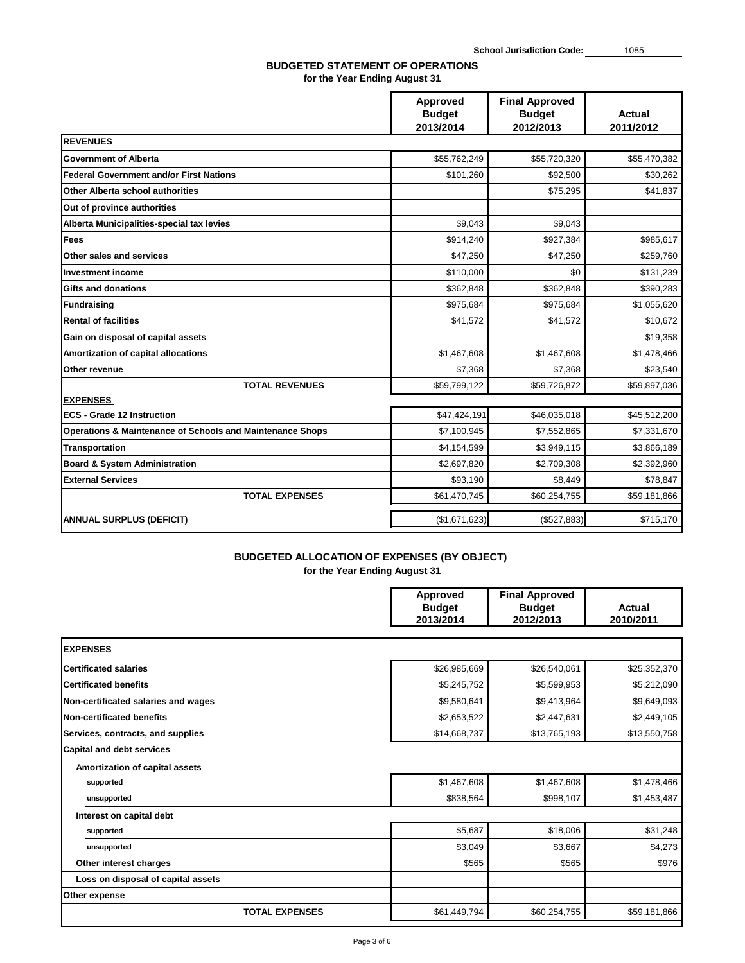|                                                                      | <b>Approved</b><br><b>Budget</b><br>2013/2014 | <b>Final Approved</b><br><b>Budget</b><br>2012/2013 | <b>Actual</b><br>2011/2012 |
|----------------------------------------------------------------------|-----------------------------------------------|-----------------------------------------------------|----------------------------|
| <b>REVENUES</b>                                                      |                                               |                                                     |                            |
| <b>Government of Alberta</b>                                         | \$55,762,249                                  | \$55,720,320                                        | \$55,470,382               |
| <b>Federal Government and/or First Nations</b>                       | \$101,260                                     | \$92,500                                            | \$30,262                   |
| <b>Other Alberta school authorities</b>                              |                                               | \$75,295                                            | \$41,837                   |
| Out of province authorities                                          |                                               |                                                     |                            |
| Alberta Municipalities-special tax levies                            | \$9,043                                       | \$9,043                                             |                            |
| Fees                                                                 | \$914,240                                     | \$927,384                                           | \$985,617                  |
| <b>Other sales and services</b>                                      | \$47,250                                      | \$47,250                                            | \$259,760                  |
| <b>Investment income</b>                                             | \$110,000                                     | \$0                                                 | \$131,239                  |
| <b>Gifts and donations</b>                                           | \$362,848                                     | \$362,848                                           | \$390,283                  |
| Fundraising                                                          | \$975,684                                     | \$975,684                                           | \$1,055,620                |
| <b>Rental of facilities</b>                                          | \$41,572                                      | \$41,572                                            | \$10,672                   |
| Gain on disposal of capital assets                                   |                                               |                                                     | \$19,358                   |
| <b>Amortization of capital allocations</b>                           | \$1,467,608                                   | \$1,467,608                                         | \$1,478,466                |
| <b>Other revenue</b>                                                 | \$7,368                                       | \$7,368                                             | \$23,540                   |
| <b>TOTAL REVENUES</b>                                                | \$59,799,122                                  | \$59,726,872                                        | \$59,897,036               |
| <b>EXPENSES</b>                                                      |                                               |                                                     |                            |
| <b>ECS - Grade 12 Instruction</b>                                    | \$47,424,191                                  | \$46,035,018                                        | \$45,512,200               |
| <b>Operations &amp; Maintenance of Schools and Maintenance Shops</b> | \$7,100,945                                   | \$7,552,865                                         | \$7,331,670                |
| <b>Transportation</b>                                                | \$4,154,599                                   | \$3,949,115                                         | \$3,866,189                |
| <b>Board &amp; System Administration</b>                             | \$2,697,820                                   | \$2,709,308                                         | \$2,392,960                |
| <b>External Services</b>                                             | \$93,190                                      | \$8,449                                             | \$78,847                   |
| <b>TOTAL EXPENSES</b>                                                | \$61,470,745                                  | \$60,254,755                                        | \$59,181,866               |
| <b>ANNUAL SURPLUS (DEFICIT)</b>                                      | (\$1,671,623)                                 | (\$527,883)                                         | \$715,170                  |

## **BUDGETED ALLOCATION OF EXPENSES (BY OBJECT)**

| <b>Approved</b> | <b>Final Approved</b> |               |
|-----------------|-----------------------|---------------|
| <b>Budget</b>   | <b>Budget</b>         | <b>Actual</b> |
| 2013/2014       | 2012/2013             | 2010/2011     |

| <b>EXPENSES</b>                       |              |              |              |
|---------------------------------------|--------------|--------------|--------------|
| <b>Certificated salaries</b>          | \$26,985,669 | \$26,540,061 | \$25,352,370 |
| <b>Certificated benefits</b>          | \$5,245,752  | \$5,599,953  | \$5,212,090  |
| Non-certificated salaries and wages   | \$9,580,641  | \$9,413,964  | \$9,649,093  |
| Non-certificated benefits             | \$2,653,522  | \$2,447,631  | \$2,449,105  |
| Services, contracts, and supplies     | \$14,668,737 | \$13,765,193 | \$13,550,758 |
| <b>Capital and debt services</b>      |              |              |              |
| <b>Amortization of capital assets</b> |              |              |              |
| supported                             | \$1,467,608  | \$1,467,608  | \$1,478,466  |
| unsupported                           | \$838,564    | \$998,107    | \$1,453,487  |
| Interest on capital debt              |              |              |              |
| supported                             | \$5,687      | \$18,006     | \$31,248     |
| unsupported                           | \$3,049      | \$3,667      | \$4,273      |
| <b>Other interest charges</b>         | \$565        | \$565        | \$976        |
| Loss on disposal of capital assets    |              |              |              |
| <b>Other expense</b>                  |              |              |              |
| <b>TOTAL EXPENSES</b>                 | \$61,449,794 | \$60,254,755 | \$59,181,866 |

**School Jurisdiction Code:** 1085

#### **BUDGETED STATEMENT OF OPERATIONS for the Year Ending August 31**

**for the Year Ending August 31**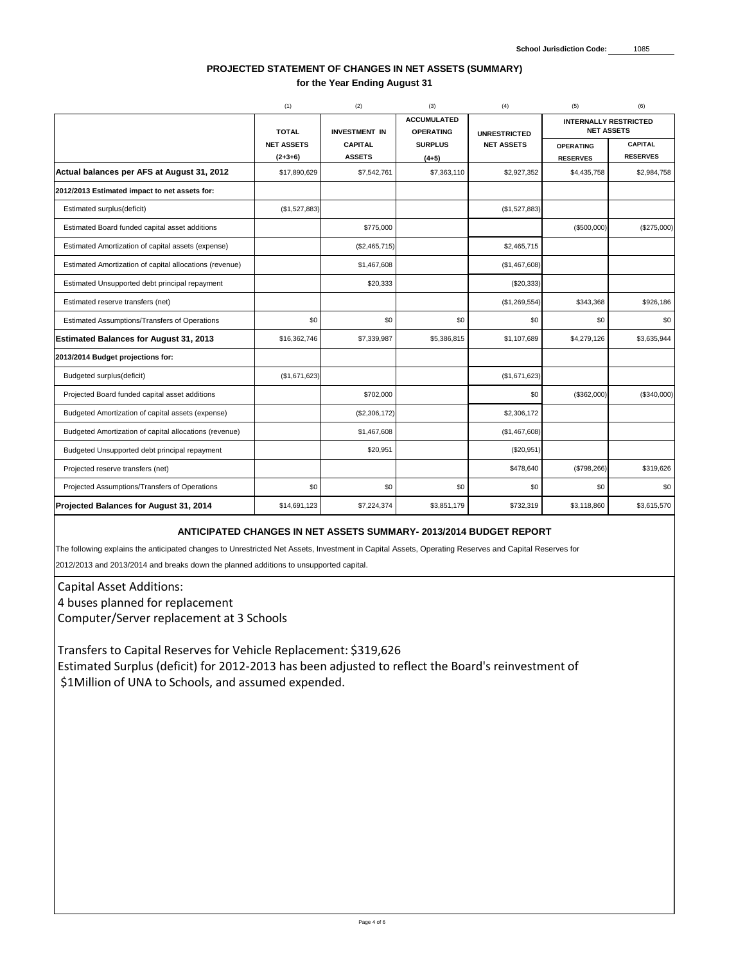|                                                                                                                                                                                                                            | (1)               | (2)                  | (3)                                    | (4)                 | (5)                                               | (6)             |  |  |
|----------------------------------------------------------------------------------------------------------------------------------------------------------------------------------------------------------------------------|-------------------|----------------------|----------------------------------------|---------------------|---------------------------------------------------|-----------------|--|--|
|                                                                                                                                                                                                                            | <b>TOTAL</b>      | <b>INVESTMENT IN</b> | <b>ACCUMULATED</b><br><b>OPERATING</b> | <b>UNRESTRICTED</b> | <b>INTERNALLY RESTRICTED</b><br><b>NET ASSETS</b> |                 |  |  |
|                                                                                                                                                                                                                            | <b>NET ASSETS</b> | <b>CAPITAL</b>       | <b>SURPLUS</b>                         | <b>NET ASSETS</b>   | <b>OPERATING</b>                                  | <b>CAPITAL</b>  |  |  |
|                                                                                                                                                                                                                            | $(2+3+6)$         | <b>ASSETS</b>        | $(4+5)$                                |                     | <b>RESERVES</b>                                   | <b>RESERVES</b> |  |  |
| Actual balances per AFS at August 31, 2012                                                                                                                                                                                 | \$17,890,629      | \$7,542,761          | \$7,363,110                            | \$2,927,352         | \$4,435,758                                       | \$2,984,758     |  |  |
| 2012/2013 Estimated impact to net assets for:                                                                                                                                                                              |                   |                      |                                        |                     |                                                   |                 |  |  |
| Estimated surplus(deficit)                                                                                                                                                                                                 | (\$1,527,883)     |                      |                                        | (\$1,527,883)       |                                                   |                 |  |  |
| Estimated Board funded capital asset additions                                                                                                                                                                             |                   | \$775,000            |                                        |                     | (\$500,000)                                       | $(\$275,000)$   |  |  |
| Estimated Amortization of capital assets (expense)                                                                                                                                                                         |                   | (\$2,465,715)        |                                        | \$2,465,715         |                                                   |                 |  |  |
| Estimated Amortization of capital allocations (revenue)                                                                                                                                                                    |                   | \$1,467,608          |                                        | (\$1,467,608)       |                                                   |                 |  |  |
| Estimated Unsupported debt principal repayment                                                                                                                                                                             |                   | \$20,333             |                                        | $(\$20,333)$        |                                                   |                 |  |  |
| Estimated reserve transfers (net)                                                                                                                                                                                          |                   |                      |                                        | (\$1,269,554)       | \$343,368                                         | \$926,186       |  |  |
| Estimated Assumptions/Transfers of Operations                                                                                                                                                                              | \$0               | \$0                  | \$0                                    | \$0                 | \$0                                               | \$0             |  |  |
| <b>Estimated Balances for August 31, 2013</b>                                                                                                                                                                              | \$16,362,746      | \$7,339,987          | \$5,386,815                            | \$1,107,689         | \$4,279,126                                       | \$3,635,944     |  |  |
| 2013/2014 Budget projections for:                                                                                                                                                                                          |                   |                      |                                        |                     |                                                   |                 |  |  |
| Budgeted surplus(deficit)                                                                                                                                                                                                  | (\$1,671,623)     |                      |                                        | (\$1,671,623)       |                                                   |                 |  |  |
| Projected Board funded capital asset additions                                                                                                                                                                             |                   | \$702,000            |                                        | \$0                 | (\$362,000)                                       | (\$340,000)     |  |  |
| Budgeted Amortization of capital assets (expense)                                                                                                                                                                          |                   | (\$2,306,172)        |                                        | \$2,306,172         |                                                   |                 |  |  |
| Budgeted Amortization of capital allocations (revenue)                                                                                                                                                                     |                   | \$1,467,608          |                                        | (\$1,467,608)       |                                                   |                 |  |  |
| Budgeted Unsupported debt principal repayment                                                                                                                                                                              |                   | \$20,951             |                                        | (\$20,951)          |                                                   |                 |  |  |
| Projected reserve transfers (net)                                                                                                                                                                                          |                   |                      |                                        | \$478,640           | (\$798,266)                                       | \$319,626       |  |  |
| Projected Assumptions/Transfers of Operations                                                                                                                                                                              | \$0               | \$0                  | \$0                                    | \$0                 | \$0                                               | \$0             |  |  |
| <b>Projected Balances for August 31, 2014</b>                                                                                                                                                                              | \$14,691,123      | \$7,224,374          | \$3,851,179                            | \$732,319           | \$3,118,860                                       | \$3,615,570     |  |  |
| ANTICIPATED CHANGES IN NET ASSETS SUMMARY- 2013/2014 BUDGET REPORT<br>The following explains the anticipated changes to Unrestricted Net Assets, Investment in Capital Assets, Operating Reserves and Capital Reserves for |                   |                      |                                        |                     |                                                   |                 |  |  |
| 2012/2013 and 2013/2014 and breaks down the planned additions to unsupported capital.                                                                                                                                      |                   |                      |                                        |                     |                                                   |                 |  |  |
| <b>Capital Asset Additions:</b>                                                                                                                                                                                            |                   |                      |                                        |                     |                                                   |                 |  |  |
|                                                                                                                                                                                                                            |                   |                      |                                        |                     |                                                   |                 |  |  |

## **PROJECTED STATEMENT OF CHANGES IN NET ASSETS (SUMMARY) for the Year Ending August 31**

4 buses planned for replacement Computer/Server replacement at 3 Schools

Transfers to Capital Reserves for Vehicle Replacement: \$319,626 Estimated Surplus (deficit) for 2012-2013 has been adjusted to reflect the Board's reinvestment of \$1Million of UNA to Schools, and assumed expended.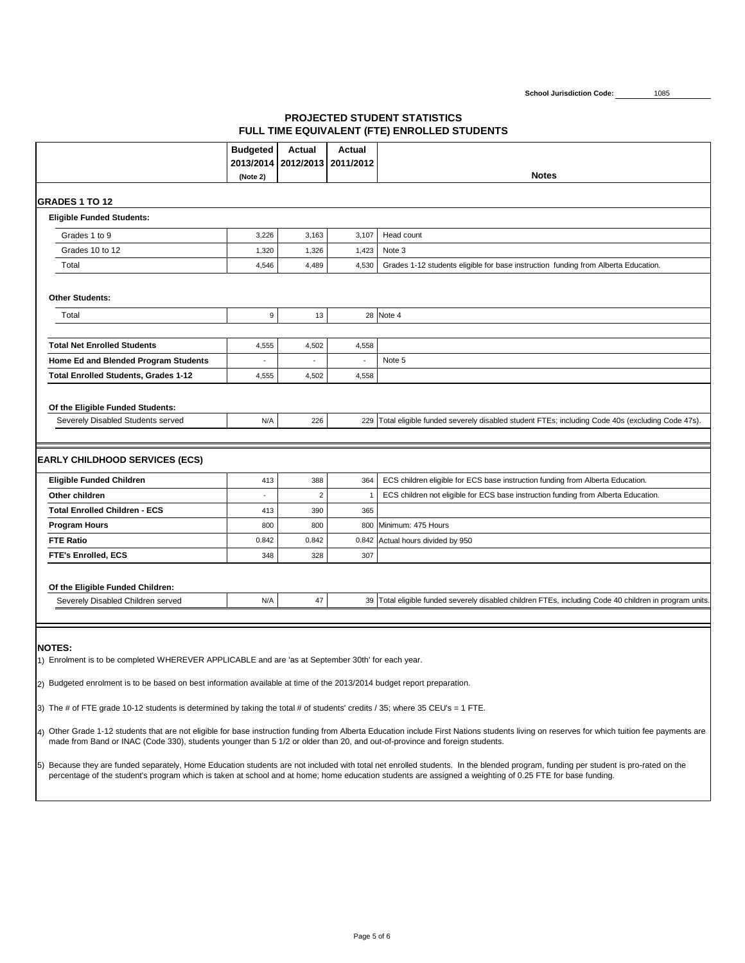

|                                                                                                                                                                                                                                                                                                                                                                                                                                                                                                                                                                                                                                                                                                                                                                                                                                                                                                                                                                                                                                                                  | <b>Budgeted</b> | <b>Actual</b> | <b>Actual</b><br>2013/2014   2012/2013   2011/2012 |                                                                                                        |  |  |  |
|------------------------------------------------------------------------------------------------------------------------------------------------------------------------------------------------------------------------------------------------------------------------------------------------------------------------------------------------------------------------------------------------------------------------------------------------------------------------------------------------------------------------------------------------------------------------------------------------------------------------------------------------------------------------------------------------------------------------------------------------------------------------------------------------------------------------------------------------------------------------------------------------------------------------------------------------------------------------------------------------------------------------------------------------------------------|-----------------|---------------|----------------------------------------------------|--------------------------------------------------------------------------------------------------------|--|--|--|
|                                                                                                                                                                                                                                                                                                                                                                                                                                                                                                                                                                                                                                                                                                                                                                                                                                                                                                                                                                                                                                                                  | (Note 2)        |               |                                                    | <b>Notes</b>                                                                                           |  |  |  |
|                                                                                                                                                                                                                                                                                                                                                                                                                                                                                                                                                                                                                                                                                                                                                                                                                                                                                                                                                                                                                                                                  |                 |               |                                                    |                                                                                                        |  |  |  |
| <b>IGRADES 1 TO 12</b><br><b>Eligible Funded Students:</b>                                                                                                                                                                                                                                                                                                                                                                                                                                                                                                                                                                                                                                                                                                                                                                                                                                                                                                                                                                                                       |                 |               |                                                    |                                                                                                        |  |  |  |
| Grades 1 to 9                                                                                                                                                                                                                                                                                                                                                                                                                                                                                                                                                                                                                                                                                                                                                                                                                                                                                                                                                                                                                                                    | 3,226           | 3,163         | 3,107                                              | <b>Head count</b>                                                                                      |  |  |  |
| Grades 10 to 12                                                                                                                                                                                                                                                                                                                                                                                                                                                                                                                                                                                                                                                                                                                                                                                                                                                                                                                                                                                                                                                  | 1,320           | 1,326         | 1,423                                              | Note 3                                                                                                 |  |  |  |
| Total                                                                                                                                                                                                                                                                                                                                                                                                                                                                                                                                                                                                                                                                                                                                                                                                                                                                                                                                                                                                                                                            | 4,546           | 4,489         | 4,530                                              | Grades 1-12 students eligible for base instruction funding from Alberta Education.                     |  |  |  |
|                                                                                                                                                                                                                                                                                                                                                                                                                                                                                                                                                                                                                                                                                                                                                                                                                                                                                                                                                                                                                                                                  |                 |               |                                                    |                                                                                                        |  |  |  |
| <b>Other Students:</b>                                                                                                                                                                                                                                                                                                                                                                                                                                                                                                                                                                                                                                                                                                                                                                                                                                                                                                                                                                                                                                           |                 |               |                                                    |                                                                                                        |  |  |  |
| <b>Total</b>                                                                                                                                                                                                                                                                                                                                                                                                                                                                                                                                                                                                                                                                                                                                                                                                                                                                                                                                                                                                                                                     | 9               | 13            |                                                    | 28   Note 4                                                                                            |  |  |  |
|                                                                                                                                                                                                                                                                                                                                                                                                                                                                                                                                                                                                                                                                                                                                                                                                                                                                                                                                                                                                                                                                  |                 |               |                                                    |                                                                                                        |  |  |  |
| <b>Total Net Enrolled Students</b>                                                                                                                                                                                                                                                                                                                                                                                                                                                                                                                                                                                                                                                                                                                                                                                                                                                                                                                                                                                                                               | 4,555           | 4,502         | 4,558                                              |                                                                                                        |  |  |  |
| Home Ed and Blended Program Students                                                                                                                                                                                                                                                                                                                                                                                                                                                                                                                                                                                                                                                                                                                                                                                                                                                                                                                                                                                                                             | $\blacksquare$  |               | $\blacksquare$                                     | Note 5                                                                                                 |  |  |  |
| <b>Total Enrolled Students, Grades 1-12</b>                                                                                                                                                                                                                                                                                                                                                                                                                                                                                                                                                                                                                                                                                                                                                                                                                                                                                                                                                                                                                      | 4,555           | 4,502         | 4,558                                              |                                                                                                        |  |  |  |
| Of the Eligible Funded Students:<br><b>Severely Disabled Students served</b>                                                                                                                                                                                                                                                                                                                                                                                                                                                                                                                                                                                                                                                                                                                                                                                                                                                                                                                                                                                     | N/A             | 226           |                                                    | 229 Total eligible funded severely disabled student FTEs; including Code 40s (excluding Code 47s).     |  |  |  |
| <b>EARLY CHILDHOOD SERVICES (ECS)</b>                                                                                                                                                                                                                                                                                                                                                                                                                                                                                                                                                                                                                                                                                                                                                                                                                                                                                                                                                                                                                            |                 |               |                                                    |                                                                                                        |  |  |  |
| <b>Eligible Funded Children</b>                                                                                                                                                                                                                                                                                                                                                                                                                                                                                                                                                                                                                                                                                                                                                                                                                                                                                                                                                                                                                                  | 413             | 388           | 364                                                | ECS children eligible for ECS base instruction funding from Alberta Education.                         |  |  |  |
| <b>Other children</b>                                                                                                                                                                                                                                                                                                                                                                                                                                                                                                                                                                                                                                                                                                                                                                                                                                                                                                                                                                                                                                            |                 |               |                                                    | ECS children not eligible for ECS base instruction funding from Alberta Education.                     |  |  |  |
| <b>Total Enrolled Children - ECS</b>                                                                                                                                                                                                                                                                                                                                                                                                                                                                                                                                                                                                                                                                                                                                                                                                                                                                                                                                                                                                                             | 413             | 390           | 365                                                |                                                                                                        |  |  |  |
| <b>Program Hours</b>                                                                                                                                                                                                                                                                                                                                                                                                                                                                                                                                                                                                                                                                                                                                                                                                                                                                                                                                                                                                                                             | 800             | 800           |                                                    | 800 Minimum: 475 Hours                                                                                 |  |  |  |
| <b>FTE Ratio</b>                                                                                                                                                                                                                                                                                                                                                                                                                                                                                                                                                                                                                                                                                                                                                                                                                                                                                                                                                                                                                                                 | 0.842           | 0.842         |                                                    | 0.842 Actual hours divided by 950                                                                      |  |  |  |
| <b>FTE's Enrolled, ECS</b>                                                                                                                                                                                                                                                                                                                                                                                                                                                                                                                                                                                                                                                                                                                                                                                                                                                                                                                                                                                                                                       | 348             | 328           | 307                                                |                                                                                                        |  |  |  |
| Of the Eligible Funded Children:<br>Severely Disabled Children served                                                                                                                                                                                                                                                                                                                                                                                                                                                                                                                                                                                                                                                                                                                                                                                                                                                                                                                                                                                            | N/A             | $\Delta$ 7    |                                                    | 39 Total eligible funded severely disabled children FTEs, including Code 40 children in program units. |  |  |  |
|                                                                                                                                                                                                                                                                                                                                                                                                                                                                                                                                                                                                                                                                                                                                                                                                                                                                                                                                                                                                                                                                  |                 |               |                                                    |                                                                                                        |  |  |  |
| <b>NOTES:</b><br>[1] Enrolment is to be completed WHEREVER APPLICABLE and are 'as at September 30th' for each year.<br>[2] Budgeted enrolment is to be based on best information available at time of the 2013/2014 budget report preparation.<br>[3) The # of FTE grade 10-12 students is determined by taking the total # of students' credits / 35; where 35 CEU's = 1 FTE.<br>4) Other Grade 1-12 students that are not eligible for base instruction funding from Alberta Education include First Nations students living on reserves for which tuition fee payments are<br>made from Band or INAC (Code 330), students younger than 5 1/2 or older than 20, and out-of-province and foreign students.<br>Because they are funded separately, Home Education students are not included with total net enrolled students. In the blended program, funding per student is pro-rated on the<br>15)<br>percentage of the student's program which is taken at school and at home; home education students are assigned a weighting of 0.25 FTE for base funding. |                 |               |                                                    |                                                                                                        |  |  |  |
|                                                                                                                                                                                                                                                                                                                                                                                                                                                                                                                                                                                                                                                                                                                                                                                                                                                                                                                                                                                                                                                                  |                 |               |                                                    |                                                                                                        |  |  |  |

**School Jurisdiction Code:** 1085

# **PROJECTED STUDENT STATISTICS FULL TIME EQUIVALENT (FTE) ENROLLED STUDENTS**